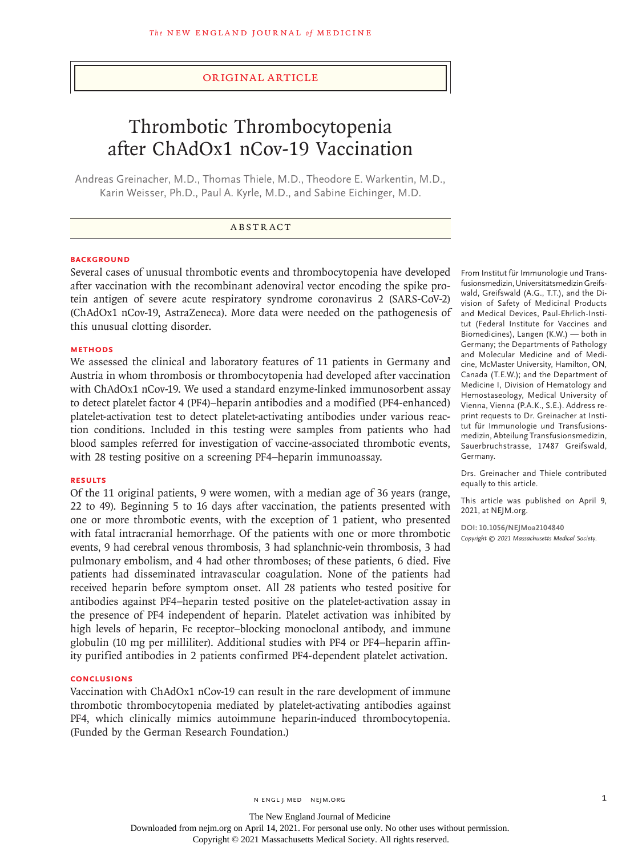## Original Article

# Thrombotic Thrombocytopenia after ChAdOx1 nCov-19 Vaccination

Andreas Greinacher, M.D., Thomas Thiele, M.D., Theodore E. Warkentin, M.D., Karin Weisser, Ph.D., Paul A. Kyrle, M.D., and Sabine Eichinger, M.D.

#### **BACKGROUND**

Several cases of unusual thrombotic events and thrombocytopenia have developed after vaccination with the recombinant adenoviral vector encoding the spike protein antigen of severe acute respiratory syndrome coronavirus 2 (SARS-CoV-2) (ChAdOx1 nCov-19, AstraZeneca). More data were needed on the pathogenesis of this unusual clotting disorder.

#### **METHODS**

We assessed the clinical and laboratory features of 11 patients in Germany and Austria in whom thrombosis or thrombocytopenia had developed after vaccination with ChAdOx1 nCov-19. We used a standard enzyme-linked immunosorbent assay to detect platelet factor 4 (PF4)–heparin antibodies and a modified (PF4-enhanced) platelet-activation test to detect platelet-activating antibodies under various reaction conditions. Included in this testing were samples from patients who had blood samples referred for investigation of vaccine-associated thrombotic events, with 28 testing positive on a screening PF4–heparin immunoassay.

### **RESULTS**

Of the 11 original patients, 9 were women, with a median age of 36 years (range, 22 to 49). Beginning 5 to 16 days after vaccination, the patients presented with one or more thrombotic events, with the exception of 1 patient, who presented with fatal intracranial hemorrhage. Of the patients with one or more thrombotic events, 9 had cerebral venous thrombosis, 3 had splanchnic-vein thrombosis, 3 had pulmonary embolism, and 4 had other thromboses; of these patients, 6 died. Five patients had disseminated intravascular coagulation. None of the patients had received heparin before symptom onset. All 28 patients who tested positive for antibodies against PF4–heparin tested positive on the platelet-activation assay in the presence of PF4 independent of heparin. Platelet activation was inhibited by high levels of heparin, Fc receptor–blocking monoclonal antibody, and immune globulin (10 mg per milliliter). Additional studies with PF4 or PF4–heparin affinity purified antibodies in 2 patients confirmed PF4-dependent platelet activation.

## **CONCLUSIONS**

Vaccination with ChAdOx1 nCov-19 can result in the rare development of immune thrombotic thrombocytopenia mediated by platelet-activating antibodies against PF4, which clinically mimics autoimmune heparin-induced thrombocytopenia. (Funded by the German Research Foundation.)

From Institut für Immunologie und Transfusionsmedizin, Universitätsmedizin Greifswald, Greifswald (A.G., T.T.), and the Division of Safety of Medicinal Products and Medical Devices, Paul-Ehrlich-Institut (Federal Institute for Vaccines and Biomedicines), Langen (K.W.) — both in Germany; the Departments of Pathology and Molecular Medicine and of Medicine, McMaster University, Hamilton, ON, Canada (T.E.W.); and the Department of Medicine I, Division of Hematology and Hemostaseology, Medical University of Vienna, Vienna (P.A.K., S.E.). Address reprint requests to Dr. Greinacher at Institut für Immunologie und Transfusionsmedizin, Abteilung Transfusionsmedizin, Sauerbruchstrasse, 17487 Greifswald, Germany.

Drs. Greinacher and Thiele contributed equally to this article.

This article was published on April 9, 2021, at NEJM.org.

**DOI: 10.1056/NEJMoa2104840** *Copyright © 2021 Massachusetts Medical Society.*

The New England Journal of Medicine Downloaded from nejm.org on April 14, 2021. For personal use only. No other uses without permission. Copyright © 2021 Massachusetts Medical Society. All rights reserved.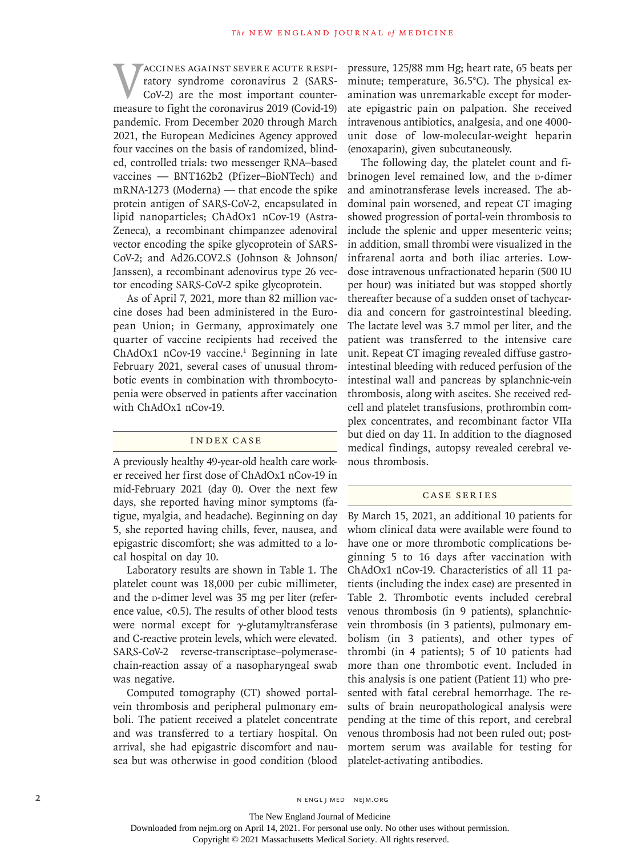VACCINES AGAINST SEVERE ACUTE RESPI-<br>
ratory syndrome coronavirus 2 (SARS-<br>
CoV-2) are the most important counter-<br>
measure to fight the coronavirus 2019 (Covid-19) ratory syndrome coronavirus 2 (SARS-CoV-2) are the most important countermeasure to fight the coronavirus 2019 (Covid-19) pandemic. From December 2020 through March 2021, the European Medicines Agency approved four vaccines on the basis of randomized, blinded, controlled trials: two messenger RNA–based vaccines — BNT162b2 (Pfizer–BioNTech) and mRNA-1273 (Moderna) — that encode the spike protein antigen of SARS-CoV-2, encapsulated in lipid nanoparticles; ChAdOx1 nCov-19 (Astra-Zeneca), a recombinant chimpanzee adenoviral vector encoding the spike glycoprotein of SARS-CoV-2; and Ad26.COV2.S (Johnson & Johnson/ Janssen), a recombinant adenovirus type 26 vector encoding SARS-CoV-2 spike glycoprotein.

As of April 7, 2021, more than 82 million vaccine doses had been administered in the European Union; in Germany, approximately one quarter of vaccine recipients had received the ChAdOx1 nCov-19 vaccine.<sup>1</sup> Beginning in late February 2021, several cases of unusual thrombotic events in combination with thrombocytopenia were observed in patients after vaccination with ChAdOx1 nCov-19.

#### Index Case

A previously healthy 49-year-old health care worker received her first dose of ChAdOx1 nCov-19 in mid-February 2021 (day 0). Over the next few days, she reported having minor symptoms (fatigue, myalgia, and headache). Beginning on day 5, she reported having chills, fever, nausea, and epigastric discomfort; she was admitted to a local hospital on day 10.

Laboratory results are shown in Table 1. The platelet count was 18,000 per cubic millimeter, and the p-dimer level was 35 mg per liter (reference value, <0.5). The results of other blood tests were normal except for  $\gamma$ -glutamyltransferase and C-reactive protein levels, which were elevated. SARS-CoV-2 reverse-transcriptase–polymerasechain-reaction assay of a nasopharyngeal swab was negative.

Computed tomography (CT) showed portalvein thrombosis and peripheral pulmonary emboli. The patient received a platelet concentrate and was transferred to a tertiary hospital. On arrival, she had epigastric discomfort and nausea but was otherwise in good condition (blood pressure, 125/88 mm Hg; heart rate, 65 beats per minute; temperature, 36.5°C). The physical examination was unremarkable except for moderate epigastric pain on palpation. She received intravenous antibiotics, analgesia, and one 4000 unit dose of low-molecular-weight heparin (enoxaparin), given subcutaneously.

The following day, the platelet count and fibrinogen level remained low, and the p-dimer and aminotransferase levels increased. The abdominal pain worsened, and repeat CT imaging showed progression of portal-vein thrombosis to include the splenic and upper mesenteric veins; in addition, small thrombi were visualized in the infrarenal aorta and both iliac arteries. Lowdose intravenous unfractionated heparin (500 IU per hour) was initiated but was stopped shortly thereafter because of a sudden onset of tachycardia and concern for gastrointestinal bleeding. The lactate level was 3.7 mmol per liter, and the patient was transferred to the intensive care unit. Repeat CT imaging revealed diffuse gastrointestinal bleeding with reduced perfusion of the intestinal wall and pancreas by splanchnic-vein thrombosis, along with ascites. She received redcell and platelet transfusions, prothrombin complex concentrates, and recombinant factor VIIa but died on day 11. In addition to the diagnosed medical findings, autopsy revealed cerebral venous thrombosis.

## Case Series

By March 15, 2021, an additional 10 patients for whom clinical data were available were found to have one or more thrombotic complications beginning 5 to 16 days after vaccination with ChAdOx1 nCov-19. Characteristics of all 11 patients (including the index case) are presented in Table 2. Thrombotic events included cerebral venous thrombosis (in 9 patients), splanchnicvein thrombosis (in 3 patients), pulmonary embolism (in 3 patients), and other types of thrombi (in 4 patients); 5 of 10 patients had more than one thrombotic event. Included in this analysis is one patient (Patient 11) who presented with fatal cerebral hemorrhage. The results of brain neuropathological analysis were pending at the time of this report, and cerebral venous thrombosis had not been ruled out; postmortem serum was available for testing for platelet-activating antibodies.

2 N ENGL J MED NEJM.ORG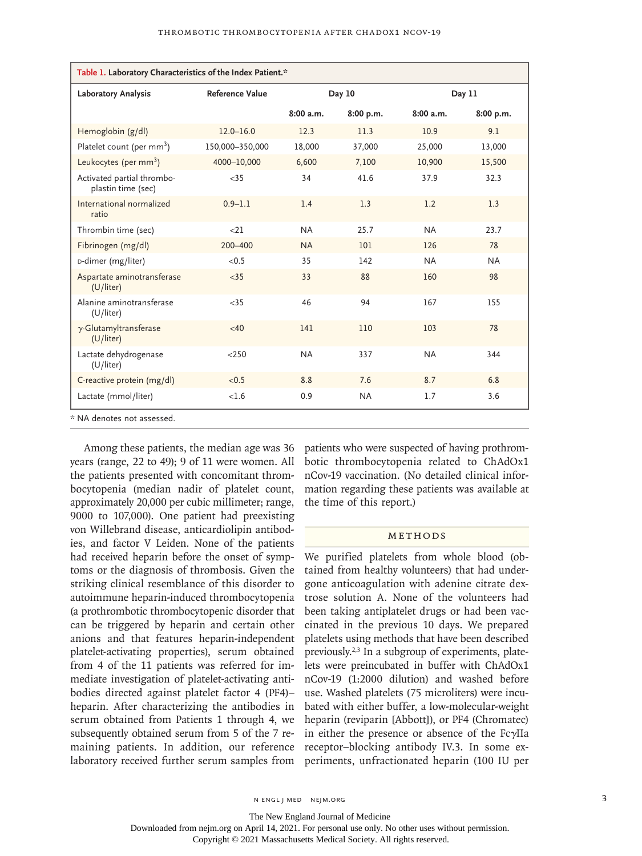| Table 1. Laboratory Characteristics of the Index Patient.* |                 |           |           |           |           |
|------------------------------------------------------------|-----------------|-----------|-----------|-----------|-----------|
| Laboratory Analysis                                        | Reference Value |           | Day 10    |           | Day 11    |
|                                                            |                 | 8:00a.m.  | 8:00 p.m. | 8:00a.m.  | 8:00 p.m. |
| Hemoglobin (g/dl)                                          | $12.0 - 16.0$   | 12.3      | 11.3      | 10.9      | 9.1       |
| Platelet count (per mm <sup>3</sup> )                      | 150,000-350,000 | 18,000    | 37,000    | 25,000    | 13,000    |
| Leukocytes (per $mm3$ )                                    | 4000-10,000     | 6,600     | 7,100     | 10,900    | 15,500    |
| Activated partial thrombo-<br>plastin time (sec)           | $<$ 35          | 34        | 41.6      | 37.9      | 32.3      |
| International normalized<br>ratio                          | $0.9 - 1.1$     | 1.4       | 1.3       | 1.2       | 1.3       |
| Thrombin time (sec)                                        | <21             | <b>NA</b> | 25.7      | <b>NA</b> | 23.7      |
| Fibrinogen (mg/dl)                                         | $200 - 400$     | <b>NA</b> | 101       | 126       | 78        |
| D-dimer (mg/liter)                                         | < 0.5           | 35        | 142       | <b>NA</b> | <b>NA</b> |
| Aspartate aminotransferase<br>(U/liter)                    | $<$ 35          | 33        | 88        | 160       | 98        |
| Alanine aminotransferase<br>(U/liter)                      | < 35            | 46        | 94        | 167       | 155       |
| $\gamma$ -Glutamyltransferase<br>(U/liter)                 | <40             | 141       | 110       | 103       | 78        |
| Lactate dehydrogenase<br>(U/liter)                         | < 250           | <b>NA</b> | 337       | <b>NA</b> | 344       |
| C-reactive protein (mg/dl)                                 | < 0.5           | 8.8       | 7.6       | 8.7       | 6.8       |
| Lactate (mmol/liter)                                       | <1.6            | 0.9       | <b>NA</b> | 1.7       | 3.6       |

\* NA denotes not assessed.

Among these patients, the median age was 36 years (range, 22 to 49); 9 of 11 were women. All the patients presented with concomitant thrombocytopenia (median nadir of platelet count, approximately 20,000 per cubic millimeter; range, 9000 to 107,000). One patient had preexisting von Willebrand disease, anticardiolipin antibodies, and factor V Leiden. None of the patients had received heparin before the onset of symptoms or the diagnosis of thrombosis. Given the striking clinical resemblance of this disorder to autoimmune heparin-induced thrombocytopenia (a prothrombotic thrombocytopenic disorder that can be triggered by heparin and certain other anions and that features heparin-independent platelet-activating properties), serum obtained from 4 of the 11 patients was referred for immediate investigation of platelet-activating antibodies directed against platelet factor 4 (PF4)– heparin. After characterizing the antibodies in serum obtained from Patients 1 through 4, we subsequently obtained serum from 5 of the 7 remaining patients. In addition, our reference laboratory received further serum samples from patients who were suspected of having prothrombotic thrombocytopenia related to ChAdOx1 nCov-19 vaccination. (No detailed clinical information regarding these patients was available at the time of this report.)

#### Methods

We purified platelets from whole blood (obtained from healthy volunteers) that had undergone anticoagulation with adenine citrate dextrose solution A. None of the volunteers had been taking antiplatelet drugs or had been vaccinated in the previous 10 days. We prepared platelets using methods that have been described previously.2,3 In a subgroup of experiments, platelets were preincubated in buffer with ChAdOx1 nCov-19 (1:2000 dilution) and washed before use. Washed platelets (75 microliters) were incubated with either buffer, a low-molecular-weight heparin (reviparin [Abbott]), or PF4 (Chromatec) in either the presence or absence of the FcγIIa receptor–blocking antibody IV.3. In some experiments, unfractionated heparin (100 IU per

The New England Journal of Medicine

Downloaded from nejm.org on April 14, 2021. For personal use only. No other uses without permission.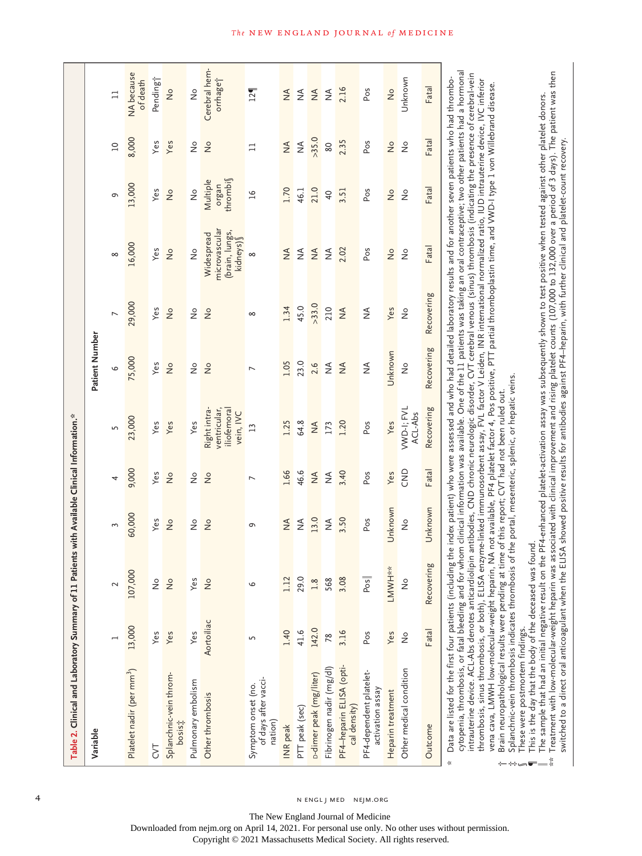| Table 2. Clinical and Laboratory Summary of 11 Pati                                                                                                                                                                                                                                                                                                                                                                                                                                                                                                                                                                                                                                                                                                                                                                                                                                                                                                                                                                                                                                                                                                                                                                                                                                                                                                                                                                                                                                   |                 |                | ents with Available Clinical Information.* |                |                                                        |                |                |                                                                                                                                                                                                                                                                 |                              |                              |                               |
|---------------------------------------------------------------------------------------------------------------------------------------------------------------------------------------------------------------------------------------------------------------------------------------------------------------------------------------------------------------------------------------------------------------------------------------------------------------------------------------------------------------------------------------------------------------------------------------------------------------------------------------------------------------------------------------------------------------------------------------------------------------------------------------------------------------------------------------------------------------------------------------------------------------------------------------------------------------------------------------------------------------------------------------------------------------------------------------------------------------------------------------------------------------------------------------------------------------------------------------------------------------------------------------------------------------------------------------------------------------------------------------------------------------------------------------------------------------------------------------|-----------------|----------------|--------------------------------------------|----------------|--------------------------------------------------------|----------------|----------------|-----------------------------------------------------------------------------------------------------------------------------------------------------------------------------------------------------------------------------------------------------------------|------------------------------|------------------------------|-------------------------------|
| Variable                                                                                                                                                                                                                                                                                                                                                                                                                                                                                                                                                                                                                                                                                                                                                                                                                                                                                                                                                                                                                                                                                                                                                                                                                                                                                                                                                                                                                                                                              |                 |                |                                            |                |                                                        | Patient Number |                |                                                                                                                                                                                                                                                                 |                              |                              |                               |
|                                                                                                                                                                                                                                                                                                                                                                                                                                                                                                                                                                                                                                                                                                                                                                                                                                                                                                                                                                                                                                                                                                                                                                                                                                                                                                                                                                                                                                                                                       |                 | $\sim$         | 3                                          | 4              | 5                                                      | 9              | $\overline{ }$ | ${}^{\infty}$                                                                                                                                                                                                                                                   | G                            | $\overline{a}$               | $\Xi$                         |
| Platelet nadir (per mm <sup>3</sup> )                                                                                                                                                                                                                                                                                                                                                                                                                                                                                                                                                                                                                                                                                                                                                                                                                                                                                                                                                                                                                                                                                                                                                                                                                                                                                                                                                                                                                                                 | 13,000          | 107,000        | 60,000                                     | 9,000          | 23,000                                                 | 75,000         | 29,000         | 16,000                                                                                                                                                                                                                                                          | 13,000                       | 8,000                        | <b>NA</b> because<br>of death |
| 5                                                                                                                                                                                                                                                                                                                                                                                                                                                                                                                                                                                                                                                                                                                                                                                                                                                                                                                                                                                                                                                                                                                                                                                                                                                                                                                                                                                                                                                                                     | Yes             | $\frac{1}{2}$  | Yes                                        | Yes            | Yes                                                    | Yes            | Yes            | Yes                                                                                                                                                                                                                                                             | Yes                          | Yes                          | Pending <sup>+</sup>          |
| Splanchnic-vein throm-<br><b>bosist</b>                                                                                                                                                                                                                                                                                                                                                                                                                                                                                                                                                                                                                                                                                                                                                                                                                                                                                                                                                                                                                                                                                                                                                                                                                                                                                                                                                                                                                                               | Yes             | $\frac{1}{2}$  | $\frac{1}{2}$                              | $\frac{1}{2}$  | Yes                                                    | $\frac{1}{2}$  | $\frac{1}{2}$  | $\frac{1}{2}$                                                                                                                                                                                                                                                   | $\frac{1}{2}$                | Yes                          | $\frac{1}{2}$                 |
| Pulmonary embolism                                                                                                                                                                                                                                                                                                                                                                                                                                                                                                                                                                                                                                                                                                                                                                                                                                                                                                                                                                                                                                                                                                                                                                                                                                                                                                                                                                                                                                                                    | Yes             | Yes            | $\frac{1}{2}$                              | $\frac{1}{2}$  | Yes                                                    | $\frac{1}{2}$  | $\frac{1}{2}$  | $\frac{1}{2}$                                                                                                                                                                                                                                                   | $\frac{1}{2}$                | $\stackrel{\circ}{\simeq}$   | $\frac{1}{2}$                 |
| Other thrombosis                                                                                                                                                                                                                                                                                                                                                                                                                                                                                                                                                                                                                                                                                                                                                                                                                                                                                                                                                                                                                                                                                                                                                                                                                                                                                                                                                                                                                                                                      | Aortoiliac      | $\frac{1}{2}$  | $\frac{1}{2}$                              | $\frac{1}{2}$  | ventricular,<br>iliofemora<br>Right intra<br>vein, IVC | $\frac{1}{2}$  | $\frac{1}{2}$  | microvascular<br>(brain, lungs,<br>kidneys) §<br>Widespread                                                                                                                                                                                                     | thrombi<br>Multiple<br>uegio | $\frac{1}{2}$                | Cerebral hem-<br>orrhage i    |
| of days after vacci-<br>Symptom onset (no.<br>nation)                                                                                                                                                                                                                                                                                                                                                                                                                                                                                                                                                                                                                                                                                                                                                                                                                                                                                                                                                                                                                                                                                                                                                                                                                                                                                                                                                                                                                                 | 5               | $\circ$        | G                                          | $\overline{ }$ | $\overline{13}$                                        | $\overline{ }$ | $\infty$       | $\infty$                                                                                                                                                                                                                                                        | $\overline{a}$               | $\Box$                       | 12 <sub>1</sub>               |
| INR peak                                                                                                                                                                                                                                                                                                                                                                                                                                                                                                                                                                                                                                                                                                                                                                                                                                                                                                                                                                                                                                                                                                                                                                                                                                                                                                                                                                                                                                                                              | 1.40            | 1.12           | $\stackrel{\triangle}{\geq}$               | 1.66           | 1.25                                                   | 1.05           | 1.34           | $\frac{4}{2}$                                                                                                                                                                                                                                                   | 1.70                         | $\stackrel{\triangle}{\geq}$ | $\lessgtr$                    |
| PTT peak (sec)                                                                                                                                                                                                                                                                                                                                                                                                                                                                                                                                                                                                                                                                                                                                                                                                                                                                                                                                                                                                                                                                                                                                                                                                                                                                                                                                                                                                                                                                        | 41.6            | 29.0           | $\stackrel{\triangle}{\geq}$               | 46.6           | 64.8                                                   | 23.0           | 45.0           | $\lessgtr$                                                                                                                                                                                                                                                      | 46.1                         | $\lessgtr$                   | $\stackrel{\triangle}{\geq}$  |
| <b>D-dimer</b> peak (mg/liter)                                                                                                                                                                                                                                                                                                                                                                                                                                                                                                                                                                                                                                                                                                                                                                                                                                                                                                                                                                                                                                                                                                                                                                                                                                                                                                                                                                                                                                                        | 142.0           | $1.8$          | 13.0                                       | $\frac{4}{2}$  | $\stackrel{\triangle}{\geq}$                           | 2.6            | >33.0          | $\lessgtr$                                                                                                                                                                                                                                                      | 21.0                         | >35.0                        | $\lessgtr$                    |
| Fibrinogen nadir (mg/dl)                                                                                                                                                                                                                                                                                                                                                                                                                                                                                                                                                                                                                                                                                                                                                                                                                                                                                                                                                                                                                                                                                                                                                                                                                                                                                                                                                                                                                                                              | $\overline{78}$ | 568            | $\frac{4}{2}$                              | ₹              | 173                                                    | $\frac{4}{2}$  | 210            | $\frac{4}{2}$                                                                                                                                                                                                                                                   | $\overline{6}$               | 80                           | $\frac{4}{2}$                 |
| PF4-heparin ELISA (opti-<br>cal density)                                                                                                                                                                                                                                                                                                                                                                                                                                                                                                                                                                                                                                                                                                                                                                                                                                                                                                                                                                                                                                                                                                                                                                                                                                                                                                                                                                                                                                              | 3.16            | 3.08           | 3.50                                       | 3.40           | 1.20                                                   | $\frac{4}{2}$  | $\frac{4}{2}$  | 2.02                                                                                                                                                                                                                                                            | 3.51                         | 2.35                         | 2.16                          |
| PF4-dependent platelet-<br>activation assay                                                                                                                                                                                                                                                                                                                                                                                                                                                                                                                                                                                                                                                                                                                                                                                                                                                                                                                                                                                                                                                                                                                                                                                                                                                                                                                                                                                                                                           | Pos             | Pos            | Pos                                        | Pos            | Pos                                                    | ₹              | $\frac{4}{2}$  | Pos                                                                                                                                                                                                                                                             | Pos                          | Pos                          | Pos                           |
| Heparin treatment                                                                                                                                                                                                                                                                                                                                                                                                                                                                                                                                                                                                                                                                                                                                                                                                                                                                                                                                                                                                                                                                                                                                                                                                                                                                                                                                                                                                                                                                     | Yes             | LMWH**         | Unknown                                    | Yes            | Yes                                                    | Unknown        | Yes            | $\frac{1}{2}$                                                                                                                                                                                                                                                   | $\frac{1}{2}$                | $\frac{1}{2}$                | $\frac{1}{2}$                 |
| Other medical condition                                                                                                                                                                                                                                                                                                                                                                                                                                                                                                                                                                                                                                                                                                                                                                                                                                                                                                                                                                                                                                                                                                                                                                                                                                                                                                                                                                                                                                                               | $\frac{1}{2}$   | $\frac{1}{2}$  | $\frac{1}{2}$                              | CND            | VWD-I; FVL<br>ACL-Abs                                  | $\frac{1}{2}$  | $\frac{1}{2}$  | $\frac{1}{2}$                                                                                                                                                                                                                                                   | $\frac{1}{2}$                | $\frac{1}{2}$                | Unknown                       |
| Outcome                                                                                                                                                                                                                                                                                                                                                                                                                                                                                                                                                                                                                                                                                                                                                                                                                                                                                                                                                                                                                                                                                                                                                                                                                                                                                                                                                                                                                                                                               | Fatal           | g<br>Recoverin | Unknown                                    | Fatal          | Recovering                                             | Recovering     | Recovering     | Fatal                                                                                                                                                                                                                                                           | Fatal                        | Fatal                        | Fatal                         |
| cytopenia, thrombosis, or fatal bleeding and for whom clinical information was available. One of the 11 patients was taking an oral contraceptive; two other patients had a hormonal<br>Treatment with low-molecular-weight heparin was associated with clinical improvement and rising platelet counts (107,000 to 132,000 over a period of 3 days). The patient was then<br>intrauterine device. ACL-Abs denotes anticardiolipin antibodies, CND chronic neurologic disorder, CVT cerebral venous (sinus) thrombosis (indicating the presence of cerebral-vein<br>thrombosis, sinus thrombosis, or both), ELISA enzyme-linked immunosorbent assay, FVL factor V Leiden, INR international normalized ratio, IUD intrauterine device, IVC inferior<br>vena cava, LMWH low-molecular-weight heparin, NA not available, PF4 platelet factor 4, Pos positive, PTT partial thromboplastin time, and VWD-I type 1 von Willebrand disease.<br>switched to a direct oral anticoagulant when the ELISA showed positive results for antibodies against PF4-heparin, with further clinical and platelet-count recovery.<br>Splanchnic-vein thrombosis indicates thrombosis of the portal, mesenteric, splenic, or hepatic veins.<br>Data are listed for the first four patients (includin<br>This is the day that the body of the deceased was<br>The sample that had an initial negative result on<br>Brain neuropathological results were pending at<br>These were postmortem findings.<br>∗ |                 | found.         |                                            |                | time of this report; CVT had not been ruled out.       |                |                | g the index patient) who were assessed and who had detailed laboratory results and for another seven patients who had thrombo-<br>the PF4-enhanced platelet-activation assay was subsequently shown to test positive when tested against other platelet donors. |                              |                              |                               |

4 N ENGL J MED NEJM.ORG

The New England Journal of Medicine Downloaded from nejm.org on April 14, 2021. For personal use only. No other uses without permission.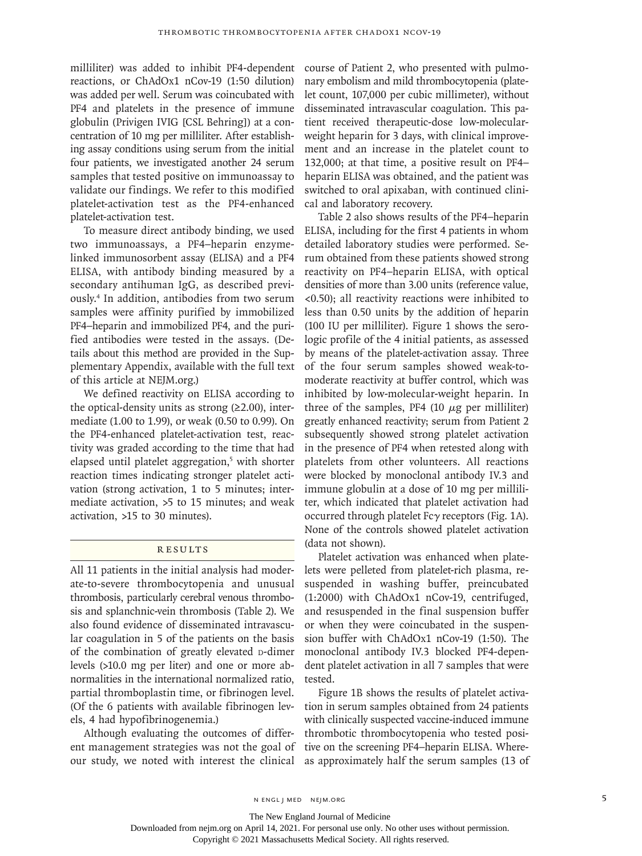milliliter) was added to inhibit PF4-dependent reactions, or ChAdOx1 nCov-19 (1:50 dilution) was added per well. Serum was coincubated with PF4 and platelets in the presence of immune globulin (Privigen IVIG [CSL Behring]) at a concentration of 10 mg per milliliter. After establishing assay conditions using serum from the initial four patients, we investigated another 24 serum samples that tested positive on immunoassay to validate our findings. We refer to this modified platelet-activation test as the PF4-enhanced platelet-activation test.

To measure direct antibody binding, we used two immunoassays, a PF4–heparin enzymelinked immunosorbent assay (ELISA) and a PF4 ELISA, with antibody binding measured by a secondary antihuman IgG, as described previously.4 In addition, antibodies from two serum samples were affinity purified by immobilized PF4–heparin and immobilized PF4, and the purified antibodies were tested in the assays. (Details about this method are provided in the Supplementary Appendix, available with the full text of this article at NEJM.org.)

We defined reactivity on ELISA according to the optical-density units as strong  $(\geq 2.00)$ , intermediate (1.00 to 1.99), or weak (0.50 to 0.99). On the PF4-enhanced platelet-activation test, reactivity was graded according to the time that had elapsed until platelet aggregation,<sup>5</sup> with shorter reaction times indicating stronger platelet activation (strong activation, 1 to 5 minutes; intermediate activation, >5 to 15 minutes; and weak activation, >15 to 30 minutes).

# **RESULTS**

All 11 patients in the initial analysis had moderate-to-severe thrombocytopenia and unusual thrombosis, particularly cerebral venous thrombosis and splanchnic-vein thrombosis (Table 2). We also found evidence of disseminated intravascular coagulation in 5 of the patients on the basis of the combination of greatly elevated p-dimer levels (>10.0 mg per liter) and one or more abnormalities in the international normalized ratio, partial thromboplastin time, or fibrinogen level. (Of the 6 patients with available fibrinogen levels, 4 had hypofibrinogenemia.)

Although evaluating the outcomes of different management strategies was not the goal of our study, we noted with interest the clinical

course of Patient 2, who presented with pulmonary embolism and mild thrombocytopenia (platelet count, 107,000 per cubic millimeter), without disseminated intravascular coagulation. This patient received therapeutic-dose low-molecularweight heparin for 3 days, with clinical improvement and an increase in the platelet count to 132,000; at that time, a positive result on PF4– heparin ELISA was obtained, and the patient was switched to oral apixaban, with continued clinical and laboratory recovery.

Table 2 also shows results of the PF4–heparin ELISA, including for the first 4 patients in whom detailed laboratory studies were performed. Serum obtained from these patients showed strong reactivity on PF4–heparin ELISA, with optical densities of more than 3.00 units (reference value, <0.50); all reactivity reactions were inhibited to less than 0.50 units by the addition of heparin (100 IU per milliliter). Figure 1 shows the serologic profile of the 4 initial patients, as assessed by means of the platelet-activation assay. Three of the four serum samples showed weak-tomoderate reactivity at buffer control, which was inhibited by low-molecular-weight heparin. In three of the samples, PF4 (10  $\mu$ g per milliliter) greatly enhanced reactivity; serum from Patient 2 subsequently showed strong platelet activation in the presence of PF4 when retested along with platelets from other volunteers. All reactions were blocked by monoclonal antibody IV.3 and immune globulin at a dose of 10 mg per milliliter, which indicated that platelet activation had occurred through platelet Fcγ receptors (Fig. 1A). None of the controls showed platelet activation (data not shown).

Platelet activation was enhanced when platelets were pelleted from platelet-rich plasma, resuspended in washing buffer, preincubated (1:2000) with ChAdOx1 nCov-19, centrifuged, and resuspended in the final suspension buffer or when they were coincubated in the suspension buffer with ChAdOx1 nCov-19 (1:50). The monoclonal antibody IV.3 blocked PF4-dependent platelet activation in all 7 samples that were tested.

Figure 1B shows the results of platelet activation in serum samples obtained from 24 patients with clinically suspected vaccine-induced immune thrombotic thrombocytopenia who tested positive on the screening PF4–heparin ELISA. Whereas approximately half the serum samples (13 of

The New England Journal of Medicine

Downloaded from nejm.org on April 14, 2021. For personal use only. No other uses without permission.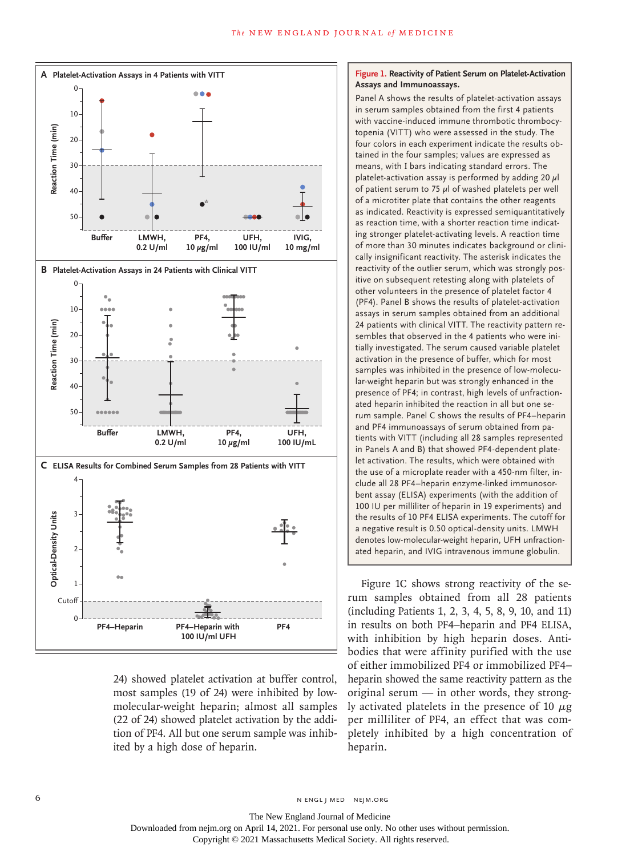

24) showed platelet activation at buffer control, most samples (19 of 24) were inhibited by lowmolecular-weight heparin; almost all samples (22 of 24) showed platelet activation by the addition of PF4. All but one serum sample was inhibited by a high dose of heparin.

### **Figure 1. Reactivity of Patient Serum on Platelet-Activation Assays and Immunoassays.**

Panel A shows the results of platelet-activation assays in serum samples obtained from the first 4 patients with vaccine-induced immune thrombotic thrombocytopenia (VITT) who were assessed in the study. The four colors in each experiment indicate the results obtained in the four samples; values are expressed as means, with I bars indicating standard errors. The platelet-activation assay is performed by adding 20  $\mu$ l of patient serum to 75  $\mu$ l of washed platelets per well of a microtiter plate that contains the other reagents as indicated. Reactivity is expressed semiquantitatively as reaction time, with a shorter reaction time indicating stronger platelet-activating levels. A reaction time of more than 30 minutes indicates background or clinically insignificant reactivity. The asterisk indicates the reactivity of the outlier serum, which was strongly positive on subsequent retesting along with platelets of other volunteers in the presence of platelet factor 4 (PF4). Panel B shows the results of platelet-activation assays in serum samples obtained from an additional 24 patients with clinical VITT. The reactivity pattern resembles that observed in the 4 patients who were initially investigated. The serum caused variable platelet activation in the presence of buffer, which for most samples was inhibited in the presence of low-molecular-weight heparin but was strongly enhanced in the presence of PF4; in contrast, high levels of unfractionated heparin inhibited the reaction in all but one serum sample. Panel C shows the results of PF4–heparin and PF4 immunoassays of serum obtained from patients with VITT (including all 28 samples represented in Panels A and B) that showed PF4-dependent platelet activation. The results, which were obtained with the use of a microplate reader with a 450-nm filter, include all 28 PF4–heparin enzyme-linked immunosorbent assay (ELISA) experiments (with the addition of 100 IU per milliliter of heparin in 19 experiments) and the results of 10 PF4 ELISA experiments. The cutoff for a negative result is 0.50 optical-density units. LMWH denotes low-molecular-weight heparin, UFH unfractionated heparin, and IVIG intravenous immune globulin.

Figure 1C shows strong reactivity of the serum samples obtained from all 28 patients (including Patients 1, 2, 3, 4, 5, 8, 9, 10, and 11) in results on both PF4–heparin and PF4 ELISA, with inhibition by high heparin doses. Antibodies that were affinity purified with the use of either immobilized PF4 or immobilized PF4– heparin showed the same reactivity pattern as the original serum — in other words, they strongly activated platelets in the presence of 10  $\mu$ g per milliliter of PF4, an effect that was completely inhibited by a high concentration of heparin.

6 **n** engl j med nejm.org neighbors in the neutral media  $\frac{1}{2}$  media  $\frac{1}{2}$  media  $\frac{1}{2}$  media  $\frac{1}{2}$  media  $\frac{1}{2}$  media  $\frac{1}{2}$  media  $\frac{1}{2}$  media  $\frac{1}{2}$  media  $\frac{1}{2}$  media  $\frac{1}{2}$  media  $\frac{1$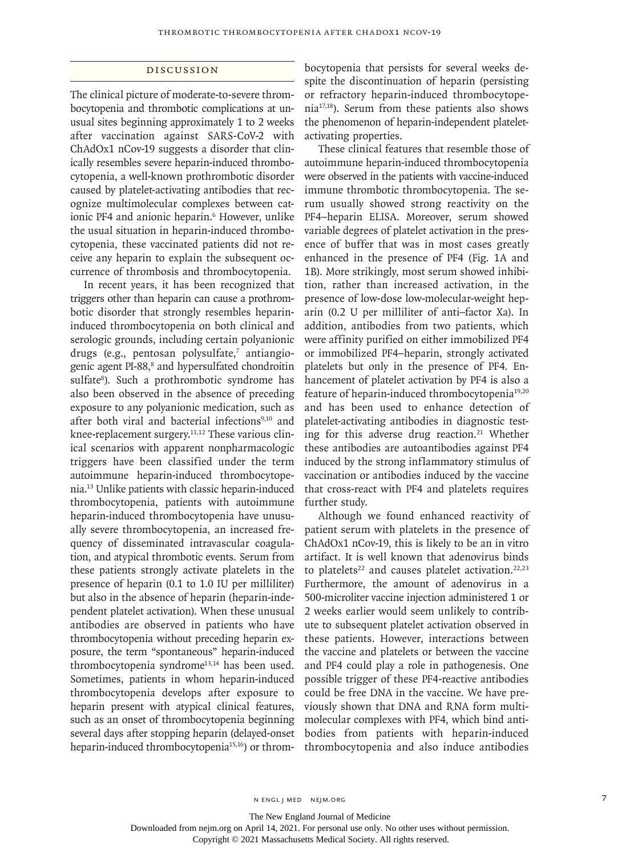### Discussion

The clinical picture of moderate-to-severe thrombocytopenia and thrombotic complications at unusual sites beginning approximately 1 to 2 weeks after vaccination against SARS-CoV-2 with ChAdOx1 nCov-19 suggests a disorder that clinically resembles severe heparin-induced thrombocytopenia, a well-known prothrombotic disorder caused by platelet-activating antibodies that recognize multimolecular complexes between cationic PF4 and anionic heparin.<sup>6</sup> However, unlike the usual situation in heparin-induced thrombocytopenia, these vaccinated patients did not receive any heparin to explain the subsequent occurrence of thrombosis and thrombocytopenia.

In recent years, it has been recognized that triggers other than heparin can cause a prothrombotic disorder that strongly resembles heparininduced thrombocytopenia on both clinical and serologic grounds, including certain polyanionic drugs (e.g., pentosan polysulfate,<sup>7</sup> antiangiogenic agent PI-88,<sup>8</sup> and hypersulfated chondroitin sulfate<sup>8</sup>). Such a prothrombotic syndrome has also been observed in the absence of preceding exposure to any polyanionic medication, such as after both viral and bacterial infections<sup>9,10</sup> and knee-replacement surgery.<sup>11,12</sup> These various clinical scenarios with apparent nonpharmacologic triggers have been classified under the term autoimmune heparin-induced thrombocytopenia.13 Unlike patients with classic heparin-induced thrombocytopenia, patients with autoimmune heparin-induced thrombocytopenia have unusually severe thrombocytopenia, an increased frequency of disseminated intravascular coagulation, and atypical thrombotic events. Serum from these patients strongly activate platelets in the presence of heparin (0.1 to 1.0 IU per milliliter) but also in the absence of heparin (heparin-independent platelet activation). When these unusual antibodies are observed in patients who have thrombocytopenia without preceding heparin exposure, the term "spontaneous" heparin-induced thrombocytopenia syndrome<sup>13,14</sup> has been used. Sometimes, patients in whom heparin-induced thrombocytopenia develops after exposure to heparin present with atypical clinical features, such as an onset of thrombocytopenia beginning several days after stopping heparin (delayed-onset heparin-induced thrombocytopenia<sup>15,16</sup>) or thrombocytopenia that persists for several weeks despite the discontinuation of heparin (persisting or refractory heparin-induced thrombocytopenia17,18). Serum from these patients also shows the phenomenon of heparin-independent plateletactivating properties.

These clinical features that resemble those of autoimmune heparin-induced thrombocytopenia were observed in the patients with vaccine-induced immune thrombotic thrombocytopenia. The serum usually showed strong reactivity on the PF4–heparin ELISA. Moreover, serum showed variable degrees of platelet activation in the presence of buffer that was in most cases greatly enhanced in the presence of PF4 (Fig. 1A and 1B). More strikingly, most serum showed inhibition, rather than increased activation, in the presence of low-dose low-molecular-weight heparin (0.2 U per milliliter of anti–factor Xa). In addition, antibodies from two patients, which were affinity purified on either immobilized PF4 or immobilized PF4–heparin, strongly activated platelets but only in the presence of PF4. Enhancement of platelet activation by PF4 is also a feature of heparin-induced thrombocytopenia<sup>19,20</sup> and has been used to enhance detection of platelet-activating antibodies in diagnostic testing for this adverse drug reaction.<sup>21</sup> Whether these antibodies are autoantibodies against PF4 induced by the strong inflammatory stimulus of vaccination or antibodies induced by the vaccine that cross-react with PF4 and platelets requires further study.

Although we found enhanced reactivity of patient serum with platelets in the presence of ChAdOx1 nCov-19, this is likely to be an in vitro artifact. It is well known that adenovirus binds to platelets<sup>22</sup> and causes platelet activation.<sup>22,23</sup> Furthermore, the amount of adenovirus in a 500-microliter vaccine injection administered 1 or 2 weeks earlier would seem unlikely to contribute to subsequent platelet activation observed in these patients. However, interactions between the vaccine and platelets or between the vaccine and PF4 could play a role in pathogenesis. One possible trigger of these PF4-reactive antibodies could be free DNA in the vaccine. We have previously shown that DNA and RNA form multimolecular complexes with PF4, which bind antibodies from patients with heparin-induced thrombocytopenia and also induce antibodies

The New England Journal of Medicine

Downloaded from nejm.org on April 14, 2021. For personal use only. No other uses without permission.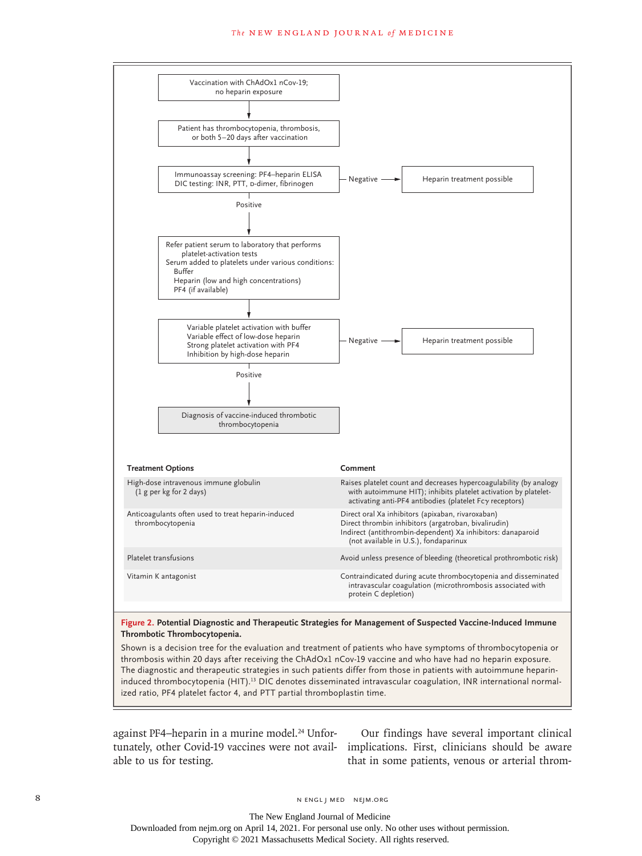#### **The NEW ENGLAND JOURNAL of MEDICINE**



### **Figure 2. Potential Diagnostic and Therapeutic Strategies for Management of Suspected Vaccine-Induced Immune Thrombotic Thrombocytopenia.**

Shown is a decision tree for the evaluation and treatment of patients who have symptoms of thrombocytopenia or thrombosis within 20 days after receiving the ChAdOx1 nCov-19 vaccine and who have had no heparin exposure. The diagnostic and therapeutic strategies in such patients differ from those in patients with autoimmune heparininduced thrombocytopenia (HIT).<sup>13</sup> DIC denotes disseminated intravascular coagulation, INR international normalized ratio, PF4 platelet factor 4, and PTT partial thromboplastin time.

against PF4-heparin in a murine model.<sup>24</sup> Unfortunately, other Covid-19 vaccines were not available to us for testing.

Our findings have several important clinical implications. First, clinicians should be aware that in some patients, venous or arterial throm-

8 N ENGL J MED NEJM.ORG

The New England Journal of Medicine Downloaded from nejm.org on April 14, 2021. For personal use only. No other uses without permission.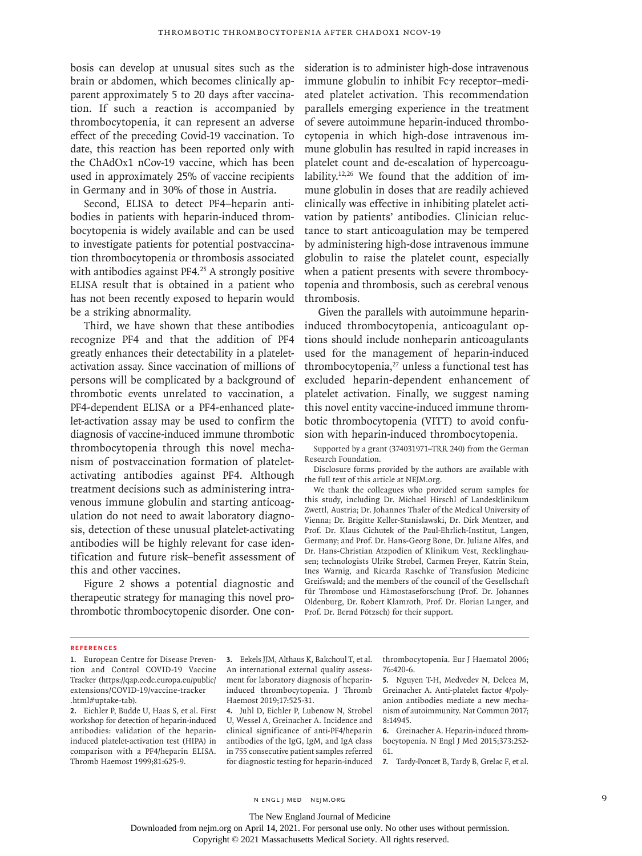bosis can develop at unusual sites such as the brain or abdomen, which becomes clinically apparent approximately 5 to 20 days after vaccination. If such a reaction is accompanied by thrombocytopenia, it can represent an adverse effect of the preceding Covid-19 vaccination. To date, this reaction has been reported only with the ChAdOx1 nCov-19 vaccine, which has been used in approximately 25% of vaccine recipients in Germany and in 30% of those in Austria.

Second, ELISA to detect PF4–heparin antibodies in patients with heparin-induced thrombocytopenia is widely available and can be used to investigate patients for potential postvaccination thrombocytopenia or thrombosis associated with antibodies against PF4.<sup>25</sup> A strongly positive ELISA result that is obtained in a patient who has not been recently exposed to heparin would be a striking abnormality.

Third, we have shown that these antibodies recognize PF4 and that the addition of PF4 greatly enhances their detectability in a plateletactivation assay. Since vaccination of millions of persons will be complicated by a background of thrombotic events unrelated to vaccination, a PF4-dependent ELISA or a PF4-enhanced platelet-activation assay may be used to confirm the diagnosis of vaccine-induced immune thrombotic thrombocytopenia through this novel mechanism of postvaccination formation of plateletactivating antibodies against PF4. Although treatment decisions such as administering intravenous immune globulin and starting anticoagulation do not need to await laboratory diagnosis, detection of these unusual platelet-activating antibodies will be highly relevant for case identification and future risk–benefit assessment of this and other vaccines.

Figure 2 shows a potential diagnostic and therapeutic strategy for managing this novel prothrombotic thrombocytopenic disorder. One consideration is to administer high-dose intravenous immune globulin to inhibit Fcγ receptor–mediated platelet activation. This recommendation parallels emerging experience in the treatment of severe autoimmune heparin-induced thrombocytopenia in which high-dose intravenous immune globulin has resulted in rapid increases in platelet count and de-escalation of hypercoagulability.<sup>12,26</sup> We found that the addition of immune globulin in doses that are readily achieved clinically was effective in inhibiting platelet activation by patients' antibodies. Clinician reluctance to start anticoagulation may be tempered by administering high-dose intravenous immune globulin to raise the platelet count, especially when a patient presents with severe thrombocytopenia and thrombosis, such as cerebral venous thrombosis.

Given the parallels with autoimmune heparininduced thrombocytopenia, anticoagulant options should include nonheparin anticoagulants used for the management of heparin-induced thrombocytopenia, $27$  unless a functional test has excluded heparin-dependent enhancement of platelet activation. Finally, we suggest naming this novel entity vaccine-induced immune thrombotic thrombocytopenia (VITT) to avoid confusion with heparin-induced thrombocytopenia.

Supported by a grant (374031971–TRR 240) from the German Research Foundation.

Disclosure forms provided by the authors are available with the full text of this article at NEJM.org.

We thank the colleagues who provided serum samples for this study, including Dr. Michael Hirschl of Landesklinikum Zwettl, Austria; Dr. Johannes Thaler of the Medical University of Vienna; Dr. Brigitte Keller-Stanislawski, Dr. Dirk Mentzer, and Prof. Dr. Klaus Cichutek of the Paul-Ehrlich-Institut, Langen, Germany; and Prof. Dr. Hans-Georg Bone, Dr. Juliane Alfes, and Dr. Hans-Christian Atzpodien of Klinikum Vest, Recklinghausen; technologists Ulrike Strobel, Carmen Freyer, Katrin Stein, Ines Warnig, and Ricarda Raschke of Transfusion Medicine Greifswald; and the members of the council of the Gesellschaft für Thrombose und Hämostaseforschung (Prof. Dr. Johannes Oldenburg, Dr. Robert Klamroth, Prof. Dr. Florian Langer, and Prof. Dr. Bernd Pötzsch) for their support.

#### **References**

**1.** European Centre for Disease Prevention and Control COVID-19 Vaccine Tracker (https://qap.ecdc.europa.eu/public/ extensions/COVID-19/vaccine-tracker .html#uptake-tab).

**2.** Eichler P, Budde U, Haas S, et al. First workshop for detection of heparin-induced antibodies: validation of the heparininduced platelet-activation test (HIPA) in comparison with a PF4/heparin ELISA. Thromb Haemost 1999;81:625-9.

**3.** Eekels JJM, Althaus K, Bakchoul T, et al. An international external quality assessment for laboratory diagnosis of heparininduced thrombocytopenia. J Thromb Haemost 2019;17:525-31.

**4.** Juhl D, Eichler P, Lubenow N, Strobel U, Wessel A, Greinacher A. Incidence and clinical significance of anti-PF4/heparin antibodies of the IgG, IgM, and IgA class in 755 consecutive patient samples referred for diagnostic testing for heparin-induced thrombocytopenia. Eur J Haematol 2006; 76:420-6.

**5.** Nguyen T-H, Medvedev N, Delcea M, Greinacher A. Anti-platelet factor 4/polyanion antibodies mediate a new mechanism of autoimmunity. Nat Commun 2017; 8:14945.

**6.** Greinacher A. Heparin-induced thrombocytopenia. N Engl J Med 2015;373:252- 61.

**7.** Tardy-Poncet B, Tardy B, Grelac F, et al.

n engl j med nejm.org 9

The New England Journal of Medicine

Downloaded from nejm.org on April 14, 2021. For personal use only. No other uses without permission.